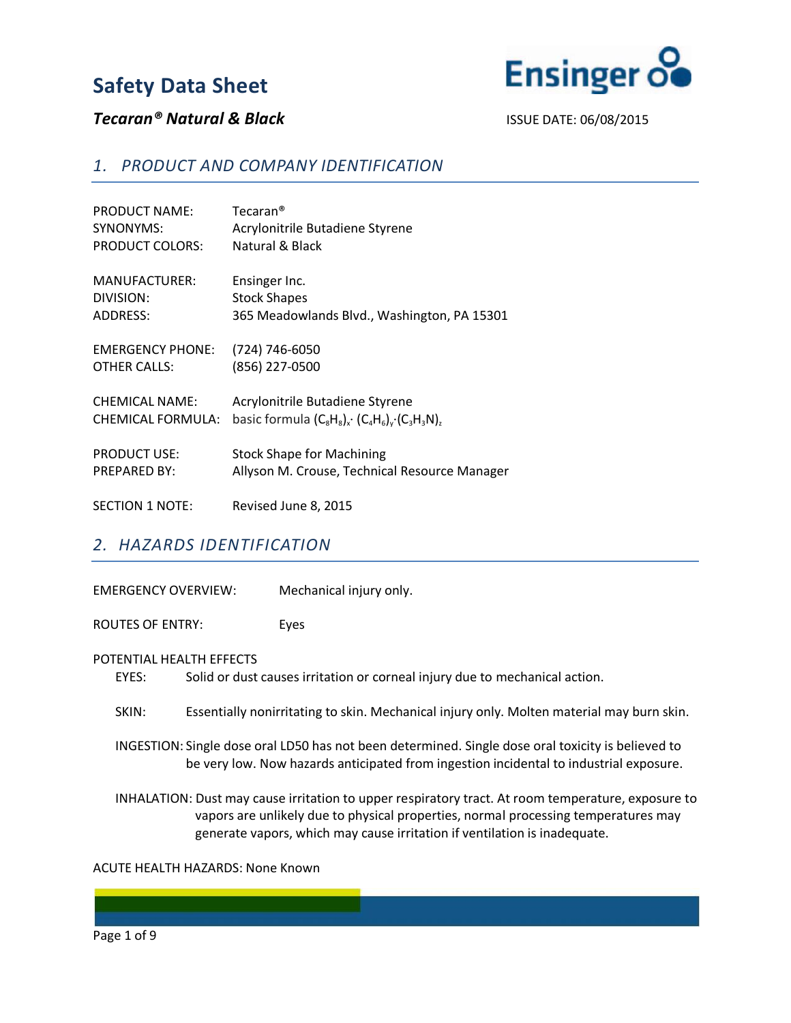

### **Tecaran<sup>®</sup> Natural & Black ISSUE DATE: 06/08/2015**

#### *1. PRODUCT AND COMPANY IDENTIFICATION*

| <b>PRODUCT NAME:</b>    | $Tecaran^@$                                           |
|-------------------------|-------------------------------------------------------|
| SYNONYMS:               | Acrylonitrile Butadiene Styrene                       |
| <b>PRODUCT COLORS:</b>  | Natural & Black                                       |
| MANUFACTURER:           | Ensinger Inc.                                         |
| DIVISION:               | <b>Stock Shapes</b>                                   |
| <b>ADDRESS:</b>         | 365 Meadowlands Blvd., Washington, PA 15301           |
| <b>EMERGENCY PHONE:</b> | (724) 746-6050                                        |
| <b>OTHER CALLS:</b>     | (856) 227-0500                                        |
| <b>CHEMICAL NAME:</b>   | Acrylonitrile Butadiene Styrene                       |
| CHEMICAL FORMULA:       | basic formula $(C_8H_8)_x$ $(C_4H_6)_y$ $(C_3H_3N)_z$ |
| <b>PRODUCT USE:</b>     | <b>Stock Shape for Machining</b>                      |
| <b>PREPARED BY:</b>     | Allyson M. Crouse, Technical Resource Manager         |
| <b>SECTION 1 NOTE:</b>  | Revised June 8, 2015                                  |

#### *2. HAZARDS IDENTIFICATION*

| <b>EMERGENCY OVERVIEW:</b> | Mechanical injury only. |
|----------------------------|-------------------------|
|                            |                         |

ROUTES OF ENTRY: Eyes

#### POTENTIAL HEALTH EFFECTS

EYES: Solid or dust causes irritation or corneal injury due to mechanical action.

SKIN: Essentially nonirritating to skin. Mechanical injury only. Molten material may burn skin.

 INGESTION: Single dose oral LD50 has not been determined. Single dose oral toxicity is believed to be very low. Now hazards anticipated from ingestion incidental to industrial exposure.

 INHALATION: Dust may cause irritation to upper respiratory tract. At room temperature, exposure to vapors are unlikely due to physical properties, normal processing temperatures may generate vapors, which may cause irritation if ventilation is inadequate.

#### ACUTE HEALTH HAZARDS: None Known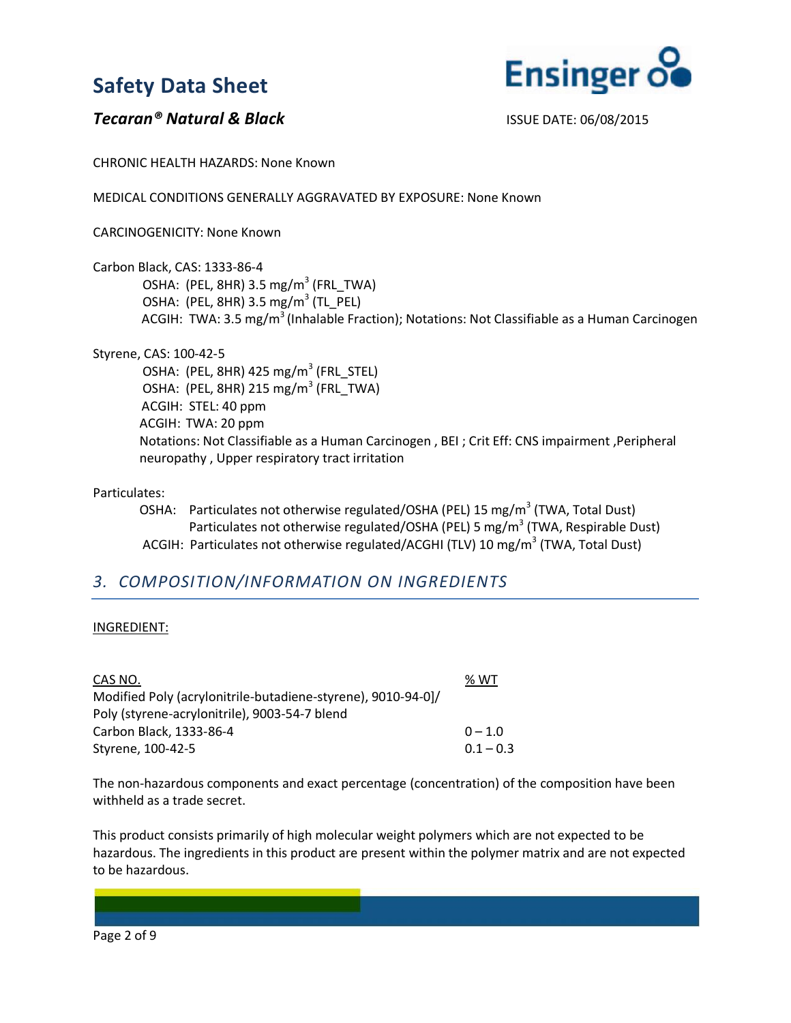

### **Tecaran<sup>®</sup> Natural & Black ISSUE DATE: 06/08/2015**

CHRONIC HEALTH HAZARDS: None Known

MEDICAL CONDITIONS GENERALLY AGGRAVATED BY EXPOSURE: None Known

CARCINOGENICITY: None Known

Carbon Black, CAS: 1333-86-4

OSHA: (PEL, 8HR) 3.5 mg/m<sup>3</sup> (FRL TWA) OSHA: (PEL, 8HR) 3.5 mg/m<sup>3</sup> (TL PEL) ACGIH: TWA: 3.5 mg/m<sup>3</sup> (Inhalable Fraction); Notations: Not Classifiable as a Human Carcinogen

Styrene, CAS: 100-42-5

OSHA: (PEL, 8HR) 425 mg/m<sup>3</sup> (FRL\_STEL) OSHA: (PEL, 8HR) 215 mg/m<sup>3</sup> (FRL\_TWA) ACGIH: STEL: 40 ppm ACGIH: TWA: 20 ppm Notations: Not Classifiable as a Human Carcinogen , BEI ; Crit Eff: CNS impairment ,Peripheral neuropathy , Upper respiratory tract irritation

#### Particulates:

OSHA: Particulates not otherwise regulated/OSHA (PEL) 15 mg/m<sup>3</sup> (TWA, Total Dust) Particulates not otherwise regulated/OSHA (PEL) 5 mg/m<sup>3</sup> (TWA, Respirable Dust) ACGIH: Particulates not otherwise regulated/ACGHI (TLV) 10 mg/m<sup>3</sup> (TWA, Total Dust)

## *3. COMPOSITION/INFORMATION ON INGREDIENTS*

#### INGREDIENT:

| CAS NO.                                                      | % WT        |
|--------------------------------------------------------------|-------------|
| Modified Poly (acrylonitrile-butadiene-styrene), 9010-94-0]/ |             |
| Poly (styrene-acrylonitrile), 9003-54-7 blend                |             |
| Carbon Black, 1333-86-4                                      | $0 - 1.0$   |
| Styrene, 100-42-5                                            | $0.1 - 0.3$ |

The non-hazardous components and exact percentage (concentration) of the composition have been withheld as a trade secret.

This product consists primarily of high molecular weight polymers which are not expected to be hazardous. The ingredients in this product are present within the polymer matrix and are not expected to be hazardous.

Page 2 of 9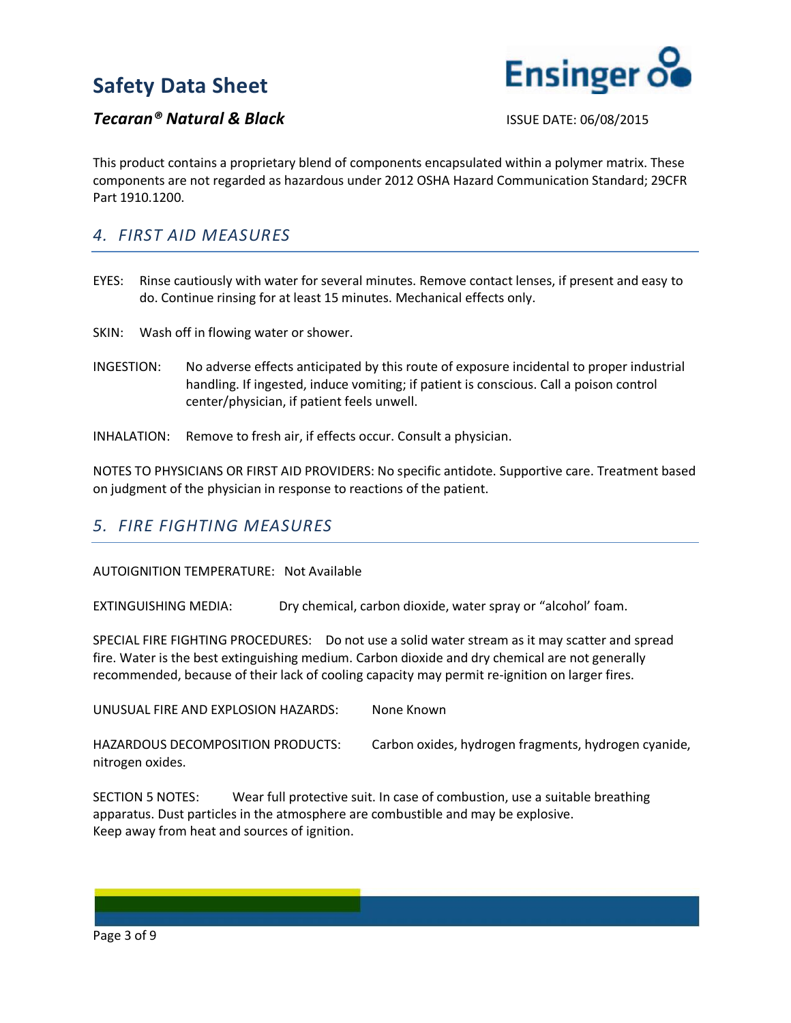

### **Tecaran<sup>®</sup> Natural & Black ISSUE DATE: 06/08/2015**

This product contains a proprietary blend of components encapsulated within a polymer matrix. These components are not regarded as hazardous under 2012 OSHA Hazard Communication Standard; 29CFR Part 1910.1200.

### *4. FIRST AID MEASURES*

EYES: Rinse cautiously with water for several minutes. Remove contact lenses, if present and easy to do. Continue rinsing for at least 15 minutes. Mechanical effects only.

SKIN: Wash off in flowing water or shower.

- INGESTION: No adverse effects anticipated by this route of exposure incidental to proper industrial handling. If ingested, induce vomiting; if patient is conscious. Call a poison control center/physician, if patient feels unwell.
- INHALATION: Remove to fresh air, if effects occur. Consult a physician.

NOTES TO PHYSICIANS OR FIRST AID PROVIDERS: No specific antidote. Supportive care. Treatment based on judgment of the physician in response to reactions of the patient.

#### *5. FIRE FIGHTING MEASURES*

#### AUTOIGNITION TEMPERATURE: Not Available

EXTINGUISHING MEDIA: Dry chemical, carbon dioxide, water spray or "alcohol' foam.

SPECIAL FIRE FIGHTING PROCEDURES: Do not use a solid water stream as it may scatter and spread fire. Water is the best extinguishing medium. Carbon dioxide and dry chemical are not generally recommended, because of their lack of cooling capacity may permit re-ignition on larger fires.

UNUSUAL FIRE AND EXPLOSION HAZARDS: None Known

HAZARDOUS DECOMPOSITION PRODUCTS: Carbon oxides, hydrogen fragments, hydrogen cyanide, nitrogen oxides.

SECTION 5 NOTES: Wear full protective suit. In case of combustion, use a suitable breathing apparatus. Dust particles in the atmosphere are combustible and may be explosive. Keep away from heat and sources of ignition.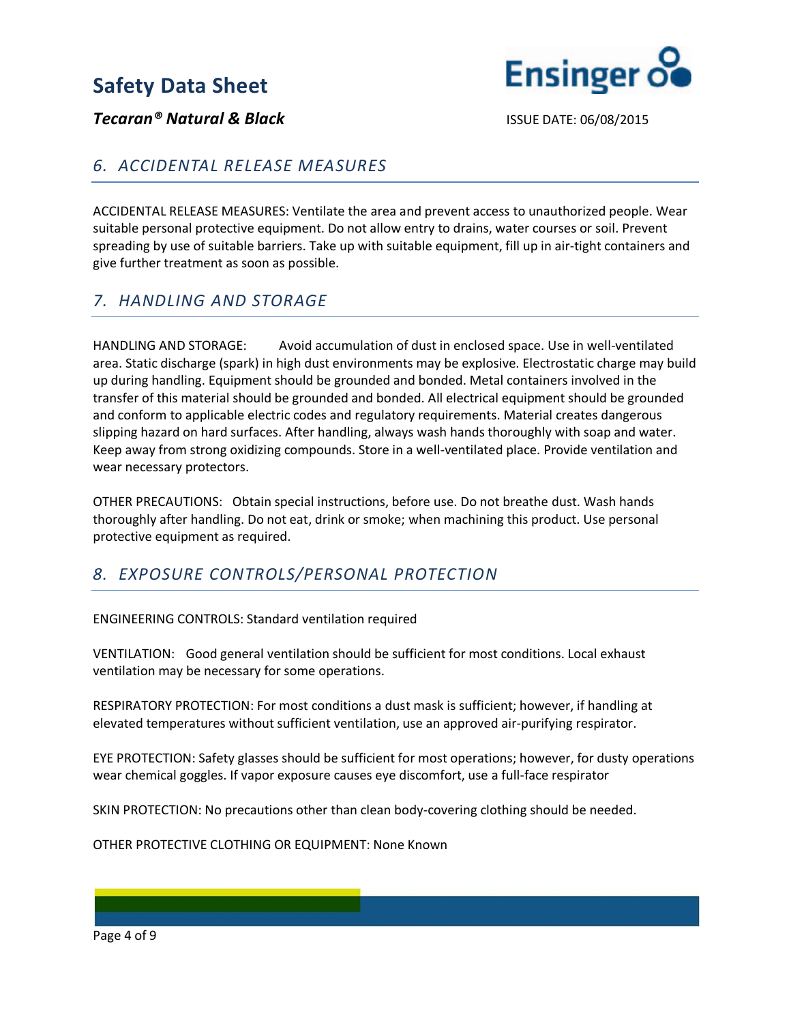

**Tecaran<sup>®</sup> Natural & Black ISSUE DATE: 06/08/2015** 

## *6. ACCIDENTAL RELEASE MEASURES*

ACCIDENTAL RELEASE MEASURES: Ventilate the area and prevent access to unauthorized people. Wear suitable personal protective equipment. Do not allow entry to drains, water courses or soil. Prevent spreading by use of suitable barriers. Take up with suitable equipment, fill up in air-tight containers and give further treatment as soon as possible.

# *7. HANDLING AND STORAGE*

HANDLING AND STORAGE: Avoid accumulation of dust in enclosed space. Use in well-ventilated area. Static discharge (spark) in high dust environments may be explosive. Electrostatic charge may build up during handling. Equipment should be grounded and bonded. Metal containers involved in the transfer of this material should be grounded and bonded. All electrical equipment should be grounded and conform to applicable electric codes and regulatory requirements. Material creates dangerous slipping hazard on hard surfaces. After handling, always wash hands thoroughly with soap and water. Keep away from strong oxidizing compounds. Store in a well-ventilated place. Provide ventilation and wear necessary protectors.

OTHER PRECAUTIONS: Obtain special instructions, before use. Do not breathe dust. Wash hands thoroughly after handling. Do not eat, drink or smoke; when machining this product. Use personal protective equipment as required.

# *8. EXPOSURE CONTROLS/PERSONAL PROTECTION*

ENGINEERING CONTROLS: Standard ventilation required

VENTILATION: Good general ventilation should be sufficient for most conditions. Local exhaust ventilation may be necessary for some operations.

RESPIRATORY PROTECTION: For most conditions a dust mask is sufficient; however, if handling at elevated temperatures without sufficient ventilation, use an approved air-purifying respirator.

EYE PROTECTION: Safety glasses should be sufficient for most operations; however, for dusty operations wear chemical goggles. If vapor exposure causes eye discomfort, use a full-face respirator

SKIN PROTECTION: No precautions other than clean body-covering clothing should be needed.

OTHER PROTECTIVE CLOTHING OR EQUIPMENT: None Known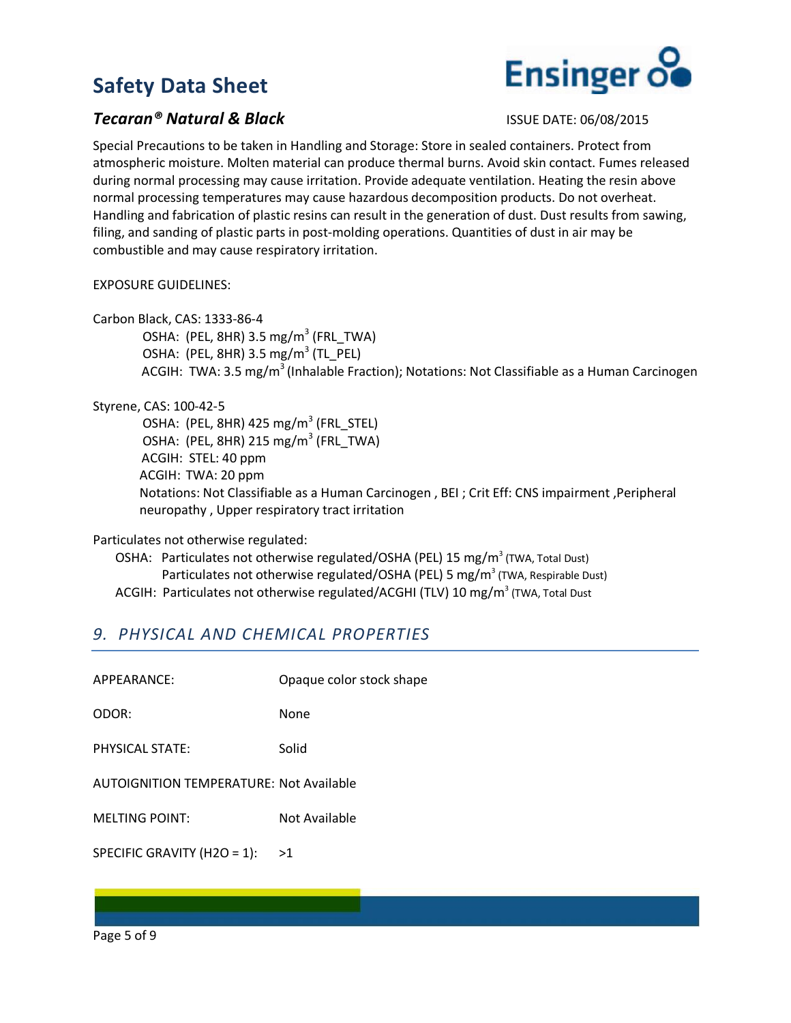

### **Tecaran<sup>®</sup> Natural & Black ISSUE DATE: 06/08/2015**

Special Precautions to be taken in Handling and Storage: Store in sealed containers. Protect from atmospheric moisture. Molten material can produce thermal burns. Avoid skin contact. Fumes released during normal processing may cause irritation. Provide adequate ventilation. Heating the resin above normal processing temperatures may cause hazardous decomposition products. Do not overheat. Handling and fabrication of plastic resins can result in the generation of dust. Dust results from sawing, filing, and sanding of plastic parts in post-molding operations. Quantities of dust in air may be combustible and may cause respiratory irritation.

EXPOSURE GUIDELINES:

Carbon Black, CAS: 1333-86-4

OSHA: (PEL, 8HR) 3.5 mg/m<sup>3</sup> (FRL TWA) OSHA: (PEL, 8HR) 3.5 mg/m<sup>3</sup> (TL\_PEL) ACGIH: TWA: 3.5 mg/m<sup>3</sup> (Inhalable Fraction); Notations: Not Classifiable as a Human Carcinogen

Styrene, CAS: 100-42-5

OSHA: (PEL, 8HR) 425 mg/m<sup>3</sup> (FRL\_STEL) OSHA: (PEL, 8HR) 215 mg/m<sup>3</sup> (FRL\_TWA) ACGIH: STEL: 40 ppm ACGIH: TWA: 20 ppm Notations: Not Classifiable as a Human Carcinogen , BEI ; Crit Eff: CNS impairment ,Peripheral neuropathy , Upper respiratory tract irritation

Particulates not otherwise regulated:

OSHA: Particulates not otherwise regulated/OSHA (PEL) 15 mg/m<sup>3</sup> (TWA, Total Dust) Particulates not otherwise regulated/OSHA (PEL) 5 mg/m<sup>3</sup> (TWA, Respirable Dust) ACGIH: Particulates not otherwise regulated/ACGHI (TLV) 10 mg/m<sup>3</sup> (TWA, Total Dust

# *9. PHYSICAL AND CHEMICAL PROPERTIES*

| APPFARANCF:                                    | Opaque color stock shape |
|------------------------------------------------|--------------------------|
| ODOR:                                          | None                     |
| PHYSICAL STATE:                                | Solid                    |
| <b>AUTOIGNITION TEMPERATURE: Not Available</b> |                          |
| <b>MELTING POINT:</b>                          | Not Available            |
| SPECIFIC GRAVITY (H2O = 1):                    | >1                       |
|                                                |                          |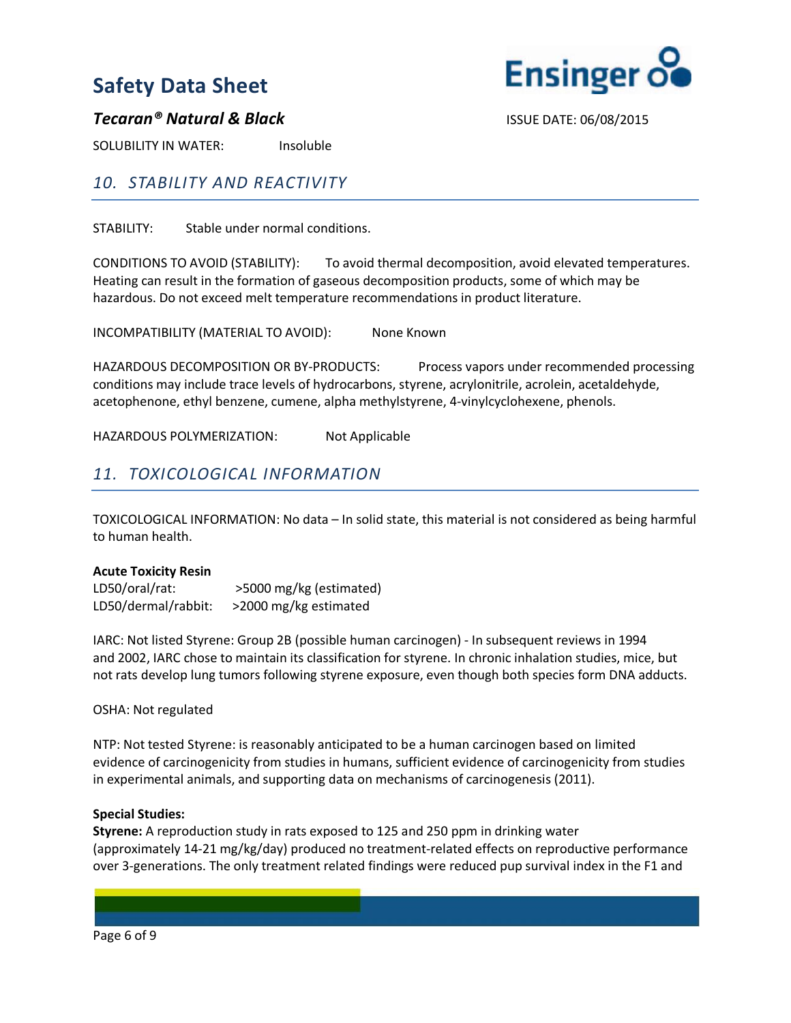

#### **Tecaran<sup>®</sup> Natural & Black ISSUE DATE: 06/08/2015**

SOLUBILITY IN WATER: Insoluble

## *10. STABILITY AND REACTIVITY*

STABILITY: Stable under normal conditions.

CONDITIONS TO AVOID (STABILITY): To avoid thermal decomposition, avoid elevated temperatures. Heating can result in the formation of gaseous decomposition products, some of which may be hazardous. Do not exceed melt temperature recommendations in product literature.

INCOMPATIBILITY (MATERIAL TO AVOID): None Known

HAZARDOUS DECOMPOSITION OR BY-PRODUCTS: Process vapors under recommended processing conditions may include trace levels of hydrocarbons, styrene, acrylonitrile, acrolein, acetaldehyde, acetophenone, ethyl benzene, cumene, alpha methylstyrene, 4-vinylcyclohexene, phenols.

HAZARDOUS POLYMERIZATION: Not Applicable

## *11. TOXICOLOGICAL INFORMATION*

TOXICOLOGICAL INFORMATION: No data – In solid state, this material is not considered as being harmful to human health.

#### **Acute Toxicity Resin**

LD50/oral/rat: >5000 mg/kg (estimated) LD50/dermal/rabbit: >2000 mg/kg estimated

IARC: Not listed Styrene: Group 2B (possible human carcinogen) - In subsequent reviews in 1994 and 2002, IARC chose to maintain its classification for styrene. In chronic inhalation studies, mice, but not rats develop lung tumors following styrene exposure, even though both species form DNA adducts.

OSHA: Not regulated

NTP: Not tested Styrene: is reasonably anticipated to be a human carcinogen based on limited evidence of carcinogenicity from studies in humans, sufficient evidence of carcinogenicity from studies in experimental animals, and supporting data on mechanisms of carcinogenesis (2011).

#### **Special Studies:**

**Styrene:** A reproduction study in rats exposed to 125 and 250 ppm in drinking water (approximately 14-21 mg/kg/day) produced no treatment-related effects on reproductive performance over 3-generations. The only treatment related findings were reduced pup survival index in the F1 and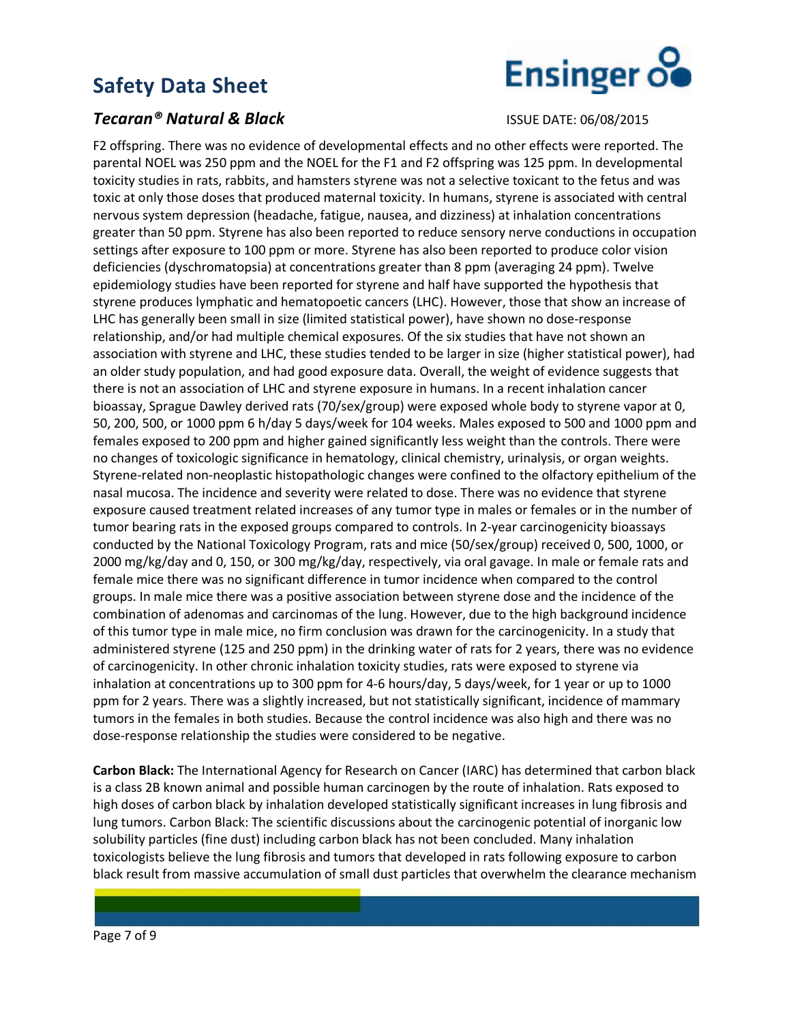### **Tecaran<sup>®</sup> Natural & Black ISSUE DATE: 06/08/2015**



F2 offspring. There was no evidence of developmental effects and no other effects were reported. The parental NOEL was 250 ppm and the NOEL for the F1 and F2 offspring was 125 ppm. In developmental toxicity studies in rats, rabbits, and hamsters styrene was not a selective toxicant to the fetus and was toxic at only those doses that produced maternal toxicity. In humans, styrene is associated with central nervous system depression (headache, fatigue, nausea, and dizziness) at inhalation concentrations greater than 50 ppm. Styrene has also been reported to reduce sensory nerve conductions in occupation settings after exposure to 100 ppm or more. Styrene has also been reported to produce color vision deficiencies (dyschromatopsia) at concentrations greater than 8 ppm (averaging 24 ppm). Twelve epidemiology studies have been reported for styrene and half have supported the hypothesis that styrene produces lymphatic and hematopoetic cancers (LHC). However, those that show an increase of LHC has generally been small in size (limited statistical power), have shown no dose-response relationship, and/or had multiple chemical exposures. Of the six studies that have not shown an association with styrene and LHC, these studies tended to be larger in size (higher statistical power), had an older study population, and had good exposure data. Overall, the weight of evidence suggests that there is not an association of LHC and styrene exposure in humans. In a recent inhalation cancer bioassay, Sprague Dawley derived rats (70/sex/group) were exposed whole body to styrene vapor at 0, 50, 200, 500, or 1000 ppm 6 h/day 5 days/week for 104 weeks. Males exposed to 500 and 1000 ppm and females exposed to 200 ppm and higher gained significantly less weight than the controls. There were no changes of toxicologic significance in hematology, clinical chemistry, urinalysis, or organ weights. Styrene-related non-neoplastic histopathologic changes were confined to the olfactory epithelium of the nasal mucosa. The incidence and severity were related to dose. There was no evidence that styrene exposure caused treatment related increases of any tumor type in males or females or in the number of tumor bearing rats in the exposed groups compared to controls. In 2-year carcinogenicity bioassays conducted by the National Toxicology Program, rats and mice (50/sex/group) received 0, 500, 1000, or 2000 mg/kg/day and 0, 150, or 300 mg/kg/day, respectively, via oral gavage. In male or female rats and female mice there was no significant difference in tumor incidence when compared to the control groups. In male mice there was a positive association between styrene dose and the incidence of the combination of adenomas and carcinomas of the lung. However, due to the high background incidence of this tumor type in male mice, no firm conclusion was drawn for the carcinogenicity. In a study that administered styrene (125 and 250 ppm) in the drinking water of rats for 2 years, there was no evidence of carcinogenicity. In other chronic inhalation toxicity studies, rats were exposed to styrene via inhalation at concentrations up to 300 ppm for 4-6 hours/day, 5 days/week, for 1 year or up to 1000 ppm for 2 years. There was a slightly increased, but not statistically significant, incidence of mammary tumors in the females in both studies. Because the control incidence was also high and there was no dose-response relationship the studies were considered to be negative.

**Carbon Black:** The International Agency for Research on Cancer (IARC) has determined that carbon black is a class 2B known animal and possible human carcinogen by the route of inhalation. Rats exposed to high doses of carbon black by inhalation developed statistically significant increases in lung fibrosis and lung tumors. Carbon Black: The scientific discussions about the carcinogenic potential of inorganic low solubility particles (fine dust) including carbon black has not been concluded. Many inhalation toxicologists believe the lung fibrosis and tumors that developed in rats following exposure to carbon black result from massive accumulation of small dust particles that overwhelm the clearance mechanism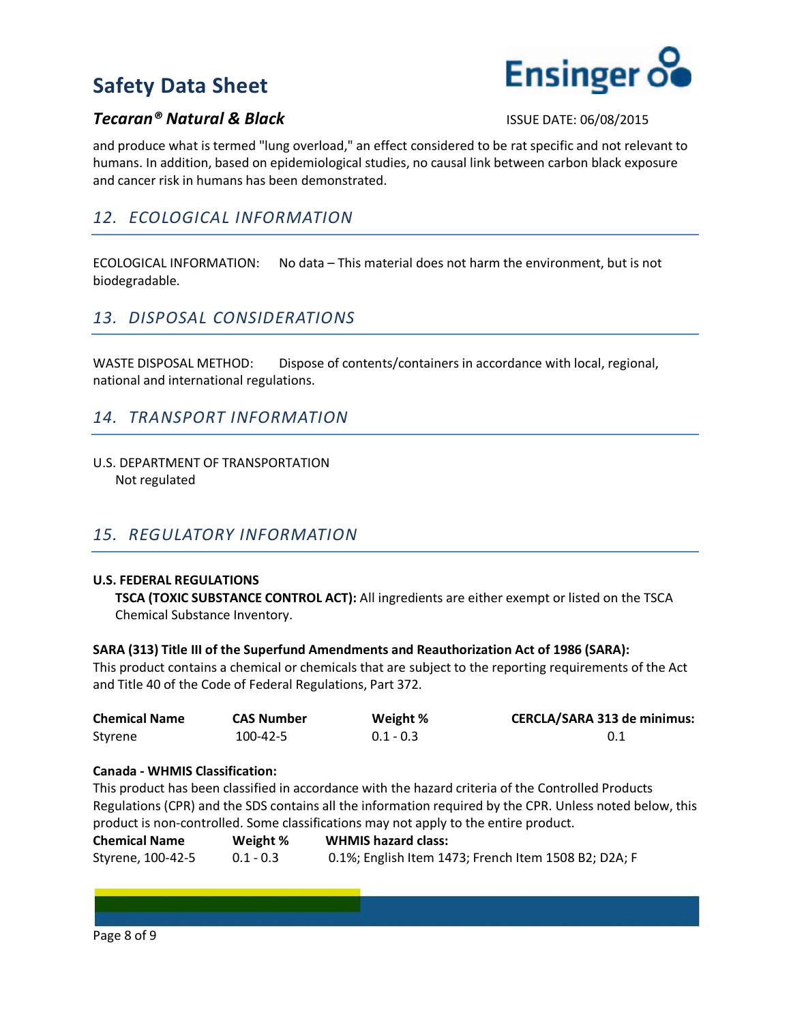

### **Tecaran<sup>®</sup> Natural & Black ISSUE DATE: 06/08/2015**

and produce what is termed "lung overload," an effect considered to be rat specific and not relevant to humans. In addition, based on epidemiological studies, no causal link between carbon black exposure and cancer risk in humans has been demonstrated.

## *12. ECOLOGICAL INFORMATION*

ECOLOGICAL INFORMATION: No data – This material does not harm the environment, but is not biodegradable.

## *13. DISPOSAL CONSIDERATIONS*

WASTE DISPOSAL METHOD: Dispose of contents/containers in accordance with local, regional, national and international regulations.

## *14. TRANSPORT INFORMATION*

U.S. DEPARTMENT OF TRANSPORTATION Not regulated

## *15. REGULATORY INFORMATION*

#### **U.S. FEDERAL REGULATIONS**

**TSCA (TOXIC SUBSTANCE CONTROL ACT):** All ingredients are either exempt or listed on the TSCA Chemical Substance Inventory.

#### **SARA (313) Title III of the Superfund Amendments and Reauthorization Act of 1986 (SARA):**

This product contains a chemical or chemicals that are subject to the reporting requirements of the Act and Title 40 of the Code of Federal Regulations, Part 372.

| <b>Chemical Name</b> | <b>CAS Number</b> | Weight %    | <b>CERCLA/SARA 313 de minimus:</b> |
|----------------------|-------------------|-------------|------------------------------------|
| Styrene              | 100-42-5          | $0.1 - 0.3$ |                                    |

#### **Canada - WHMIS Classification:**

This product has been classified in accordance with the hazard criteria of the Controlled Products Regulations (CPR) and the SDS contains all the information required by the CPR. Unless noted below, this product is non-controlled. Some classifications may not apply to the entire product.

| <b>Chemical Name</b> | Weight %    | <b>WHMIS hazard class:</b>                           |
|----------------------|-------------|------------------------------------------------------|
| Styrene, 100-42-5    | $0.1 - 0.3$ | 0.1%; English Item 1473; French Item 1508 B2; D2A; F |